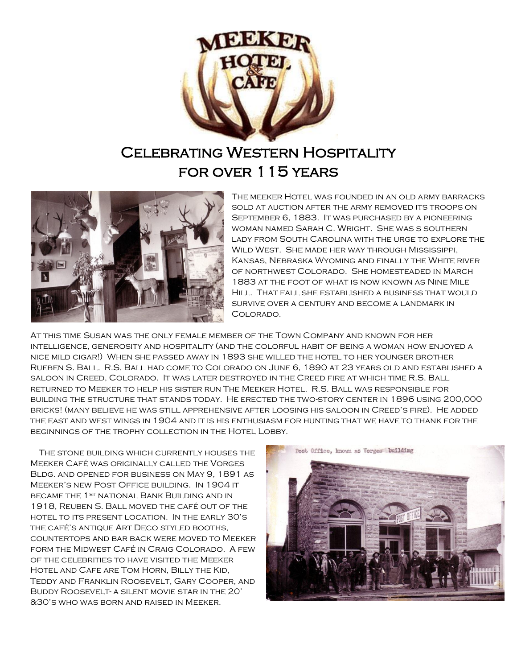

## Celebrating Western Hospitality for over 115 years



The meeker Hotel was founded in an old army barracks sold at auction after the army removed its troops on September 6, 1883. It was purchased by a pioneering woman named Sarah C. Wright. She was s southern lady from South Carolina with the urge to explore the Wild West. She made her way through Mississippi, Kansas, Nebraska Wyoming and finally the White river of northwest Colorado. She homesteaded in March 1883 at the foot of what is now known as Nine Mile Hill. That fall she established a business that would survive over a century and become a landmark in Colorado.

At this time Susan was the only female member of the Town Company and known for her intelligence, generosity and hospitality (and the colorful habit of being a woman how enjoyed a nice mild cigar!) When she passed away in 1893 she willed the hotel to her younger brother Rueben S. Ball. R.S. Ball had come to Colorado on June 6, 1890 at 23 years old and established a saloon in Creed, Colorado. It was later destroyed in the Creed fire at which time R.S. Ball returned to Meeker to help his sister run The Meeker Hotel. R.S. Ball was responsible for building the structure that stands today. He erected the two-story center in 1896 using 200,000 bricks! (many believe he was still apprehensive after loosing his saloon in Creed's fire). He added the east and west wings in 1904 and it is his enthusiasm for hunting that we have to thank for the beginnings of the trophy collection in the Hotel Lobby.

 The stone building which currently houses the Meeker Café was originally called the Vorges Bldg. and opened for business on May 9, 1891 as Meeker's new Post Office building. In 1904 it became the 1st national Bank Building and in 1918, Reuben S. Ball moved the café out of the hotel to its present location. In the early 30's the café's antique Art Deco styled booths, countertops and bar back were moved to Meeker form the Midwest Café in Craig Colorado. A few of the celebrities to have visited the Meeker Hotel and Cafe are Tom Horn, Billy the Kid, Teddy and Franklin Roosevelt, Gary Cooper, and Buddy Roosevelt- a silent movie star in the 20' &30's who was born and raised in Meeker.

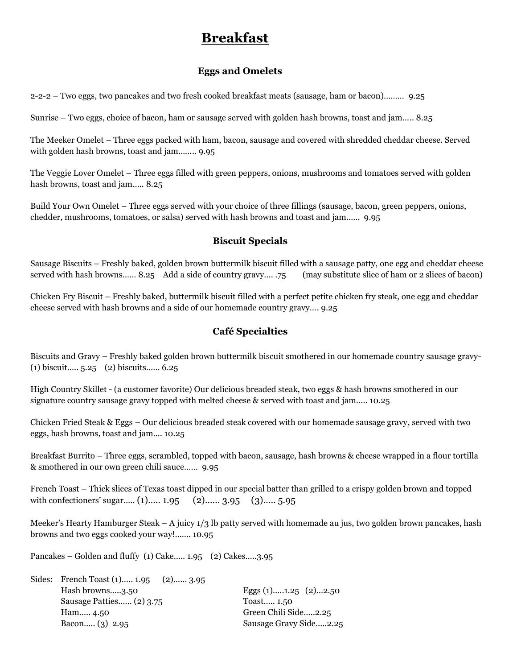## **Breakfast**

#### **Eggs and Omelets**

2-2-2 – Two eggs, two pancakes and two fresh cooked breakfast meats (sausage, ham or bacon)……… 9.25

Sunrise – Two eggs, choice of bacon, ham or sausage served with golden hash browns, toast and jam….. 8.25

The Meeker Omelet – Three eggs packed with ham, bacon, sausage and covered with shredded cheddar cheese. Served with golden hash browns, toast and jam…….. 9.95

The Veggie Lover Omelet – Three eggs filled with green peppers, onions, mushrooms and tomatoes served with golden hash browns, toast and jam..... 8.25

Build Your Own Omelet – Three eggs served with your choice of three fillings (sausage, bacon, green peppers, onions, chedder, mushrooms, tomatoes, or salsa) served with hash browns and toast and jam…… 9.95

#### **Biscuit Specials**

Sausage Biscuits – Freshly baked, golden brown buttermilk biscuit filled with a sausage patty, one egg and cheddar cheese served with hash browns…… 8.25 Add a side of country gravy…. .75 (may substitute slice of ham or 2 slices of bacon)

Chicken Fry Biscuit – Freshly baked, buttermilk biscuit filled with a perfect petite chicken fry steak, one egg and cheddar cheese served with hash browns and a side of our homemade country gravy…. 9.25

### **Café Specialties**

Biscuits and Gravy – Freshly baked golden brown buttermilk biscuit smothered in our homemade country sausage gravy- (1) biscuit….. 5.25 (2) biscuits…… 6.25

High Country Skillet - (a customer favorite) Our delicious breaded steak, two eggs & hash browns smothered in our signature country sausage gravy topped with melted cheese & served with toast and jam….. 10.25

Chicken Fried Steak & Eggs – Our delicious breaded steak covered with our homemade sausage gravy, served with two eggs, hash browns, toast and jam…. 10.25

Breakfast Burrito – Three eggs, scrambled, topped with bacon, sausage, hash browns & cheese wrapped in a flour tortilla & smothered in our own green chili sauce…… 9.95

French Toast – Thick slices of Texas toast dipped in our special batter than grilled to a crispy golden brown and topped with confectioners' sugar..... (1)….. 1.95 (2)…… 3.95 (3)…… 5.95

Meeker's Hearty Hamburger Steak – A juicy 1/3 lb patty served with homemade au jus, two golden brown pancakes, hash browns and two eggs cooked your way!……. 10.95

Pancakes – Golden and fluffy (1) Cake….. 1.95 (2) Cakes…..3.95

| Sides: French Toast (1) 1.95 (2) 3.95 |                            |
|---------------------------------------|----------------------------|
| Hash browns3.50                       | Eggs $(1)$ 1.25 $(2)$ 2.50 |
| Sausage Patties (2) 3.75              | Toast 1.50                 |
| Ham 4.50                              | Green Chili Side2.25       |
| Bacon $(3)$ 2.95                      | Sausage Gravy Side2.25     |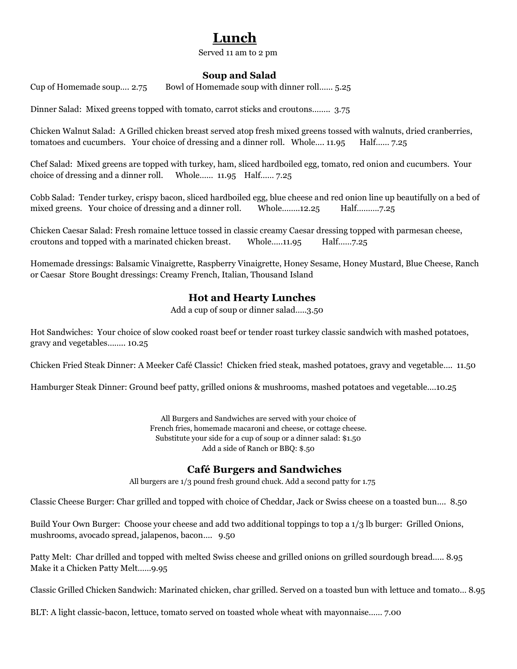# **Lunch**

Served 11 am to 2 pm

## **Soup and Salad**

Cup of Homemade soup…. 2.75 Bowl of Homemade soup with dinner roll…… 5.25

Dinner Salad: Mixed greens topped with tomato, carrot sticks and croutons…….. 3.75

Chicken Walnut Salad: A Grilled chicken breast served atop fresh mixed greens tossed with walnuts, dried cranberries, tomatoes and cucumbers. Your choice of dressing and a dinner roll. Whole…. 11.95 Half…… 7.25

Chef Salad: Mixed greens are topped with turkey, ham, sliced hardboiled egg, tomato, red onion and cucumbers. Your choice of dressing and a dinner roll. Whole…… 11.95 Half…… 7.25

Cobb Salad: Tender turkey, crispy bacon, sliced hardboiled egg, blue cheese and red onion line up beautifully on a bed of mixed greens. Your choice of dressing and a dinner roll. Whole……..12.25 Half……….7.25

Chicken Caesar Salad: Fresh romaine lettuce tossed in classic creamy Caesar dressing topped with parmesan cheese, croutons and topped with a marinated chicken breast. Whole…..11.95 Half……7.25

Homemade dressings: Balsamic Vinaigrette, Raspberry Vinaigrette, Honey Sesame, Honey Mustard, Blue Cheese, Ranch or Caesar Store Bought dressings: Creamy French, Italian, Thousand Island

## **Hot and Hearty Lunches**

Add a cup of soup or dinner salad…..3.50

Hot Sandwiches: Your choice of slow cooked roast beef or tender roast turkey classic sandwich with mashed potatoes, gravy and vegetables…….. 10.25

Chicken Fried Steak Dinner: A Meeker Café Classic! Chicken fried steak, mashed potatoes, gravy and vegetable…. 11.50

Hamburger Steak Dinner: Ground beef patty, grilled onions & mushrooms, mashed potatoes and vegetable….10.25

All Burgers and Sandwiches are served with your choice of French fries, homemade macaroni and cheese, or cottage cheese. Substitute your side for a cup of soup or a dinner salad: \$1.50 Add a side of Ranch or BBQ: \$.50

## **Café Burgers and Sandwiches**

All burgers are 1/3 pound fresh ground chuck. Add a second patty for 1.75

Classic Cheese Burger: Char grilled and topped with choice of Cheddar, Jack or Swiss cheese on a toasted bun…. 8.50

Build Your Own Burger: Choose your cheese and add two additional toppings to top a 1/3 lb burger: Grilled Onions, mushrooms, avocado spread, jalapenos, bacon…. 9.50

Patty Melt: Char drilled and topped with melted Swiss cheese and grilled onions on grilled sourdough bread….. 8.95 Make it a Chicken Patty Melt……9.95

Classic Grilled Chicken Sandwich: Marinated chicken, char grilled. Served on a toasted bun with lettuce and tomato… 8.95

BLT: A light classic-bacon, lettuce, tomato served on toasted whole wheat with mayonnaise…… 7.00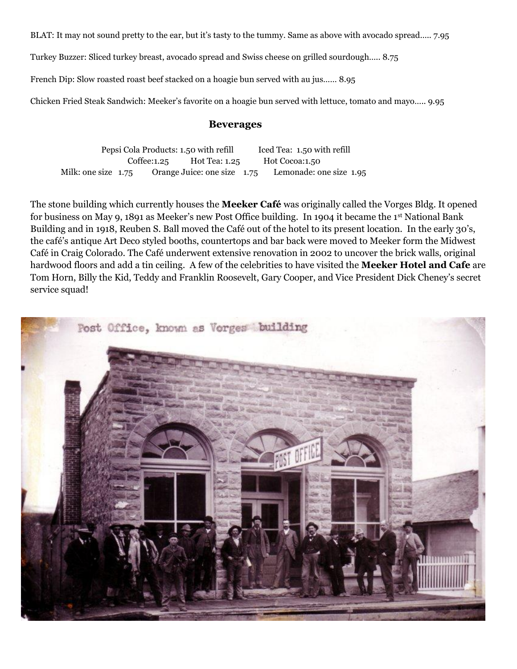BLAT: It may not sound pretty to the ear, but it's tasty to the tummy. Same as above with avocado spread….. 7.95

Turkey Buzzer: Sliced turkey breast, avocado spread and Swiss cheese on grilled sourdough….. 8.75

French Dip: Slow roasted roast beef stacked on a hoagie bun served with au jus…… 8.95

Chicken Fried Steak Sandwich: Meeker's favorite on a hoagie bun served with lettuce, tomato and mayo….. 9.95

#### **Beverages**

Pepsi Cola Products: 1.50 with refill Iced Tea: 1.50 with refill Coffee:1.25 Hot Tea: 1.25 Hot Cocoa:1.50 Milk: one size 1.75 Orange Juice: one size 1.75 Lemonade: one size 1.95

The stone building which currently houses the **Meeker Café** was originally called the Vorges Bldg. It opened for business on May 9, 1891 as Meeker's new Post Office building. In 1904 it became the 1st National Bank Building and in 1918, Reuben S. Ball moved the Café out of the hotel to its present location. In the early 30's, the café's antique Art Deco styled booths, countertops and bar back were moved to Meeker form the Midwest Café in Craig Colorado. The Café underwent extensive renovation in 2002 to uncover the brick walls, original hardwood floors and add a tin ceiling. A few of the celebrities to have visited the **Meeker Hotel and Cafe** are Tom Horn, Billy the Kid, Teddy and Franklin Roosevelt, Gary Cooper, and Vice President Dick Cheney's secret service squad!

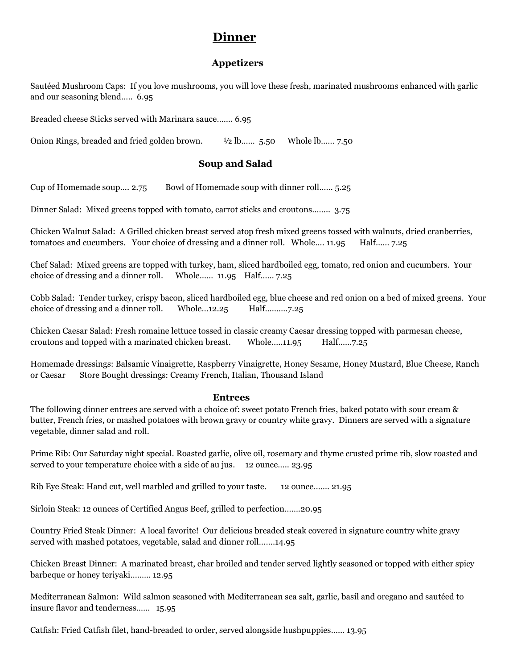## **Dinner**

## **Appetizers**

Sautéed Mushroom Caps: If you love mushrooms, you will love these fresh, marinated mushrooms enhanced with garlic and our seasoning blend….. 6.95

Breaded cheese Sticks served with Marinara sauce……. 6.95

Onion Rings, breaded and fried golden brown. ½ lb…… 5.50 Whole lb…… 7.50

## **Soup and Salad**

Cup of Homemade soup…. 2.75 Bowl of Homemade soup with dinner roll…… 5.25

Dinner Salad: Mixed greens topped with tomato, carrot sticks and croutons…….. 3.75

Chicken Walnut Salad: A Grilled chicken breast served atop fresh mixed greens tossed with walnuts, dried cranberries, tomatoes and cucumbers. Your choice of dressing and a dinner roll. Whole.... 11.95 Half...... 7.25

Chef Salad: Mixed greens are topped with turkey, ham, sliced hardboiled egg, tomato, red onion and cucumbers. Your choice of dressing and a dinner roll. Whole…… 11.95 Half…… 7.25

Cobb Salad: Tender turkey, crispy bacon, sliced hardboiled egg, blue cheese and red onion on a bed of mixed greens. Your choice of dressing and a dinner roll. Whole...12.25 Half...........7.25

Chicken Caesar Salad: Fresh romaine lettuce tossed in classic creamy Caesar dressing topped with parmesan cheese, croutons and topped with a marinated chicken breast. Whole…..11.95 Half……7.25

Homemade dressings: Balsamic Vinaigrette, Raspberry Vinaigrette, Honey Sesame, Honey Mustard, Blue Cheese, Ranch or Caesar Store Bought dressings: Creamy French, Italian, Thousand Island

#### **Entrees**

The following dinner entrees are served with a choice of: sweet potato French fries, baked potato with sour cream & butter, French fries, or mashed potatoes with brown gravy or country white gravy. Dinners are served with a signature vegetable, dinner salad and roll.

Prime Rib: Our Saturday night special. Roasted garlic, olive oil, rosemary and thyme crusted prime rib, slow roasted and served to your temperature choice with a side of au jus. 12 ounce..... 23.95

Rib Eye Steak: Hand cut, well marbled and grilled to your taste. 12 ounce……. 21.95

Sirloin Steak: 12 ounces of Certified Angus Beef, grilled to perfection…….20.95

Country Fried Steak Dinner: A local favorite! Our delicious breaded steak covered in signature country white gravy served with mashed potatoes, vegetable, salad and dinner roll…….14.95

Chicken Breast Dinner: A marinated breast, char broiled and tender served lightly seasoned or topped with either spicy barbeque or honey teriyaki……… 12.95

Mediterranean Salmon: Wild salmon seasoned with Mediterranean sea salt, garlic, basil and oregano and sautéed to insure flavor and tenderness…… 15.95

Catfish: Fried Catfish filet, hand-breaded to order, served alongside hushpuppies…… 13.95